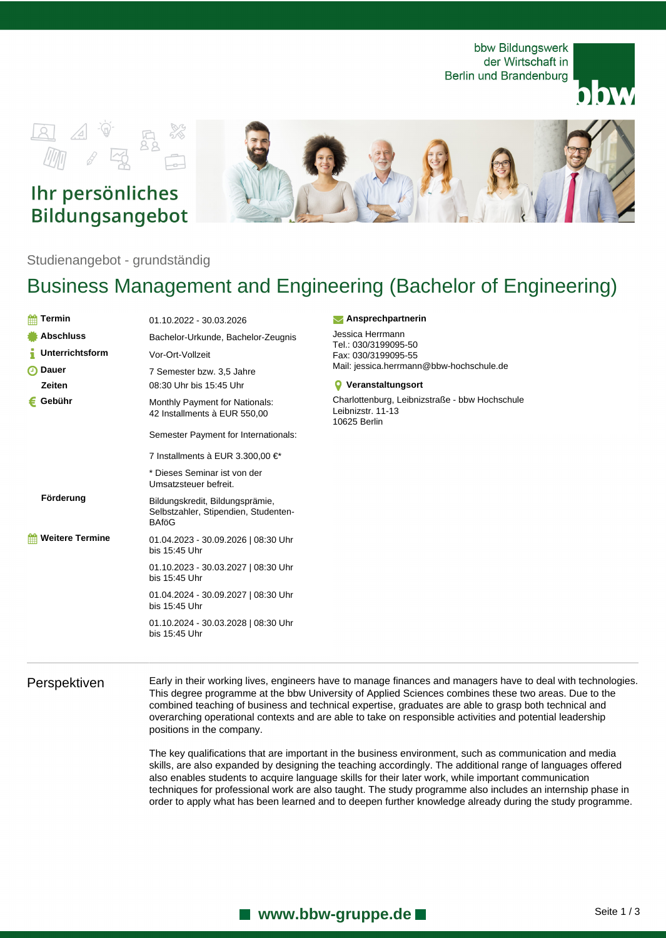bbw Bildungswerk der Wirtschaft in Berlin und Brandenburg





# Ihr persönliches Bildungsangebot



Studienangebot - grundständig

# Business Management and Engineering (Bachelor of Engineering)

| <b>Termin</b><br>雦     | 01.10.2022 - 30.03.2026                                                                 |
|------------------------|-----------------------------------------------------------------------------------------|
| <b>Abschluss</b>       | Bachelor-Urkunde, Bachelor-Zeugnis                                                      |
| <b>Unterrichtsform</b> | Vor-Ort-Vollzeit                                                                        |
| മ<br><b>Dauer</b>      | 7 Semester bzw. 3,5 Jahre                                                               |
| Zeiten                 | 08:30 Uhr bis 15:45 Uhr                                                                 |
| Gebühr<br>€            | <b>Monthly Payment for Nationals:</b><br>42 Installments à EUR 550,00                   |
|                        | Semester Payment for Internationals:                                                    |
|                        | 7 Installments à EUR 3.300,00 €*                                                        |
|                        | * Dieses Seminar ist von der<br>Umsatzsteuer befreit.                                   |
| Förderung              | Bildungskredit, Bildungsprämie,<br>Selbstzahler, Stipendien, Studenten-<br><b>BAfoG</b> |
| <b>Weitere Termine</b> | 01.04.2023 - 30.09.2026   08:30 Uhr<br>bis 15:45 Uhr                                    |
|                        | 01.10.2023 - 30.03.2027   08:30 Uhr<br>bis 15:45 Uhr                                    |
|                        | 01.04.2024 - 30.09.2027   08:30 Uhr<br>bis 15:45 Uhr                                    |
|                        | 01.10.2024 - 30.03.2028   08:30 Uhr<br>bis 15:45 Uhr                                    |
|                        |                                                                                         |

### **Ansprechpartnerin**

Jessica Herrmann Tel.: 030/3199095-50 Fax: 030/3199095-55 Mail: jessica.herrmann@bbw-hochschule.de

### **Veranstaltungsort**

Charlottenburg, Leibnizstraße - bbw Hochschule Leibnizstr. 11-13 10625 Berlin

Perspektiven Early in their working lives, engineers have to manage finances and managers have to deal with technologies. This degree programme at the bbw University of Applied Sciences combines these two areas. Due to the combined teaching of business and technical expertise, graduates are able to grasp both technical and overarching operational contexts and are able to take on responsible activities and potential leadership positions in the company.

> The key qualifications that are important in the business environment, such as communication and media skills, are also expanded by designing the teaching accordingly. The additional range of languages offered also enables students to acquire language skills for their later work, while important communication techniques for professional work are also taught. The study programme also includes an internship phase in order to apply what has been learned and to deepen further knowledge already during the study programme.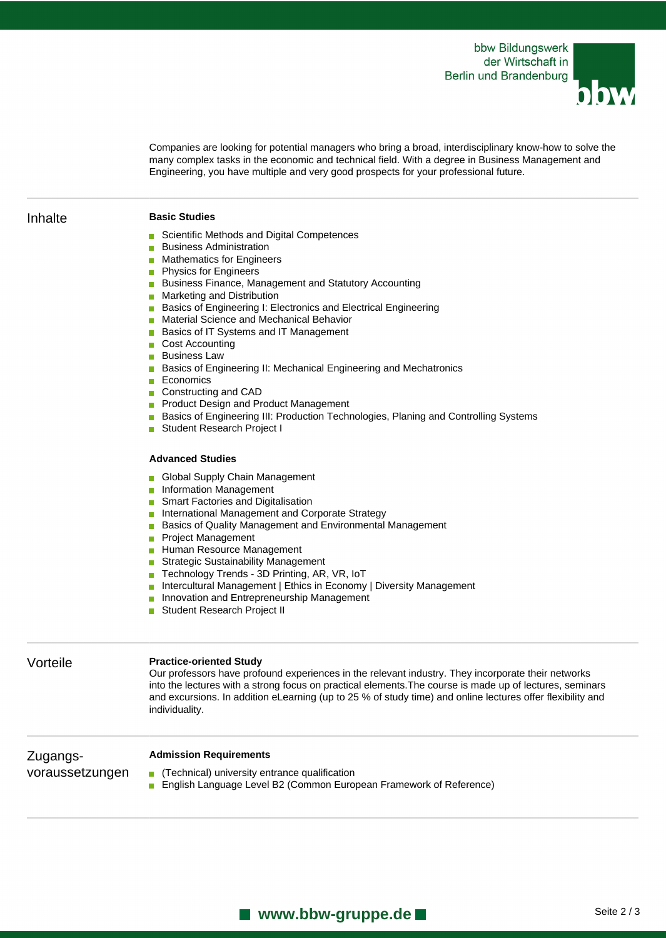

Companies are looking for potential managers who bring a broad, interdisciplinary know-how to solve the many complex tasks in the economic and technical field. With a degree in Business Management and Engineering, you have multiple and very good prospects for your professional future.

## Inhalte **Basic Studies**

- Scientific Methods and Digital Competences
- **Business Administration**
- **Mathematics for Engineers**
- **Physics for Engineers**
- **Business Finance, Management and Statutory Accounting**
- **Marketing and Distribution**
- **Basics of Engineering I: Electronics and Electrical Engineering**
- **Material Science and Mechanical Behavior**
- **Basics of IT Systems and IT Management**
- Cost Accounting
- **Business Law**
- **Basics of Engineering II: Mechanical Engineering and Mechatronics**
- Economics
- Constructing and CAD
- **Product Design and Product Management**
- **Basics of Engineering III: Production Technologies, Planing and Controlling Systems**
- Student Research Project I

### **Advanced Studies**

- Global Supply Chain Management
- **Information Management**
- Smart Factories and Digitalisation
- **International Management and Corporate Strategy**
- Basics of Quality Management and Environmental Management
- **Project Management**
- Human Resource Management
- Strategic Sustainability Management
- Technology Trends 3D Printing, AR, VR, IoT
- **Intercultural Management | Ethics in Economy | Diversity Management**
- **Innovation and Entrepreneurship Management**
- **Student Research Project II**

### Vorteile **Practice-oriented Study**

Our professors have profound experiences in the relevant industry. They incorporate their networks into the lectures with a strong focus on practical elements.The course is made up of lectures, seminars and excursions. In addition eLearning (up to 25 % of study time) and online lectures offer flexibility and individuality.

Zugangsvoraussetzungen

### **Admission Requirements**

- $\blacksquare$  (Technical) university entrance qualification
- **English Language Level B2 (Common European Framework of Reference)**